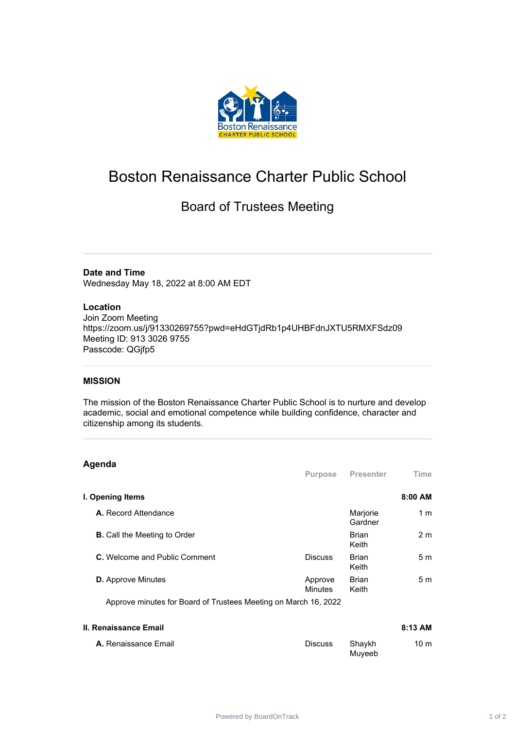

# Boston Renaissance Charter Public School

## Board of Trustees Meeting

**Date and Time**

Wednesday May 18, 2022 at 8:00 AM EDT

#### **Location**

Join Zoom Meeting https://zoom.us/j/91330269755?pwd=eHdGTjdRb1p4UHBFdnJXTU5RMXFSdz09 Meeting ID: 913 3026 9755 Passcode: QGjfp5

#### **MISSION**

The mission of the Boston Renaissance Charter Public School is to nurture and develop academic, social and emotional competence while building confidence, character and citizenship among its students.

### **Agenda**

| .                                   | <b>Purpose</b>            | Presenter             | Time           |
|-------------------------------------|---------------------------|-----------------------|----------------|
| I. Opening Items                    |                           |                       | 8:00 AM        |
| A. Record Attendance                |                           | Marjorie<br>Gardner   | 1 <sub>m</sub> |
| <b>B.</b> Call the Meeting to Order |                           | <b>Brian</b><br>Keith | 2 <sub>m</sub> |
| C. Welcome and Public Comment       | <b>Discuss</b>            | <b>Brian</b><br>Keith | 5 <sub>m</sub> |
| <b>D.</b> Approve Minutes           | Approve<br><b>Minutes</b> | <b>Brian</b><br>Keith | 5 <sub>m</sub> |
|                                     |                           |                       |                |

Approve minutes for Board of Trustees Meeting on March 16, 2022

| II. Renaissance Email       |                |                  | $8:13$ AM       |
|-----------------------------|----------------|------------------|-----------------|
| <b>A.</b> Renaissance Email | <b>Discuss</b> | Shavkh<br>Muveeb | 10 <sub>m</sub> |